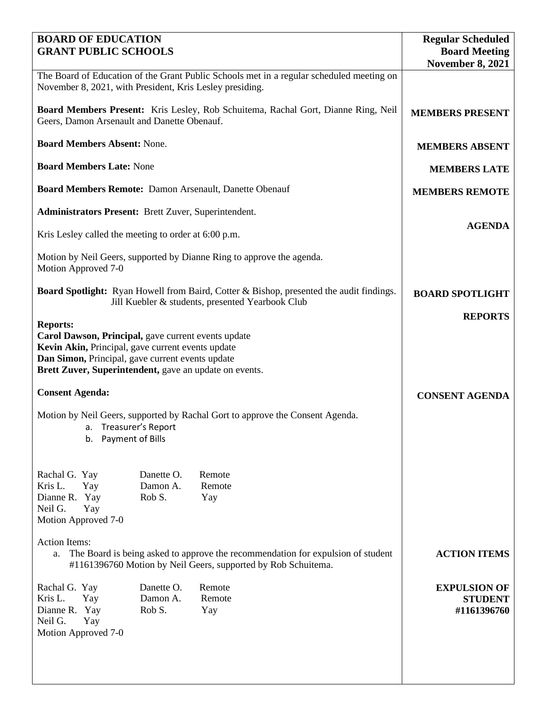| <b>BOARD OF EDUCATION</b>                                                                                                                                                                                                                 | <b>Regular Scheduled</b>                        |                         |                                                      |
|-------------------------------------------------------------------------------------------------------------------------------------------------------------------------------------------------------------------------------------------|-------------------------------------------------|-------------------------|------------------------------------------------------|
| <b>GRANT PUBLIC SCHOOLS</b>                                                                                                                                                                                                               | <b>Board Meeting</b><br><b>November 8, 2021</b> |                         |                                                      |
| The Board of Education of the Grant Public Schools met in a regular scheduled meeting on<br>November 8, 2021, with President, Kris Lesley presiding.                                                                                      |                                                 |                         |                                                      |
| Board Members Present: Kris Lesley, Rob Schuitema, Rachal Gort, Dianne Ring, Neil<br>Geers, Damon Arsenault and Danette Obenauf.                                                                                                          | <b>MEMBERS PRESENT</b>                          |                         |                                                      |
| <b>Board Members Absent: None.</b>                                                                                                                                                                                                        | <b>MEMBERS ABSENT</b>                           |                         |                                                      |
| <b>Board Members Late: None</b>                                                                                                                                                                                                           | <b>MEMBERS LATE</b>                             |                         |                                                      |
| Board Members Remote: Damon Arsenault, Danette Obenauf                                                                                                                                                                                    | <b>MEMBERS REMOTE</b>                           |                         |                                                      |
| Administrators Present: Brett Zuver, Superintendent.                                                                                                                                                                                      |                                                 |                         |                                                      |
| Kris Lesley called the meeting to order at 6:00 p.m.                                                                                                                                                                                      | <b>AGENDA</b>                                   |                         |                                                      |
| Motion by Neil Geers, supported by Dianne Ring to approve the agenda.<br>Motion Approved 7-0                                                                                                                                              |                                                 |                         |                                                      |
| <b>Board Spotlight:</b> Ryan Howell from Baird, Cotter & Bishop, presented the audit findings.<br>Jill Kuebler & students, presented Yearbook Club                                                                                        | <b>BOARD SPOTLIGHT</b>                          |                         |                                                      |
|                                                                                                                                                                                                                                           |                                                 |                         | <b>REPORTS</b>                                       |
| <b>Reports:</b><br>Carol Dawson, Principal, gave current events update<br>Kevin Akin, Principal, gave current events update<br>Dan Simon, Principal, gave current events update<br>Brett Zuver, Superintendent, gave an update on events. |                                                 |                         |                                                      |
| <b>Consent Agenda:</b>                                                                                                                                                                                                                    | <b>CONSENT AGENDA</b>                           |                         |                                                      |
| Motion by Neil Geers, supported by Rachal Gort to approve the Consent Agenda.<br>a. Treasurer's Report<br>Payment of Bills<br>b.                                                                                                          |                                                 |                         |                                                      |
| Rachal G. Yay<br>Kris L.<br>Yay<br>Dianne R. Yay<br>Neil G.<br>Yay<br>Motion Approved 7-0<br><b>Action Items:</b>                                                                                                                         | Danette O.<br>Damon A.<br>Rob S.                | Remote<br>Remote<br>Yay |                                                      |
| The Board is being asked to approve the recommendation for expulsion of student<br>a.<br>#1161396760 Motion by Neil Geers, supported by Rob Schuitema.                                                                                    | <b>ACTION ITEMS</b>                             |                         |                                                      |
| Rachal G. Yay<br>Kris L.<br>Yay<br>Dianne R. Yay<br>Neil G.<br>Yay<br>Motion Approved 7-0                                                                                                                                                 | Danette O.<br>Damon A.<br>Rob S.                | Remote<br>Remote<br>Yay | <b>EXPULSION OF</b><br><b>STUDENT</b><br>#1161396760 |